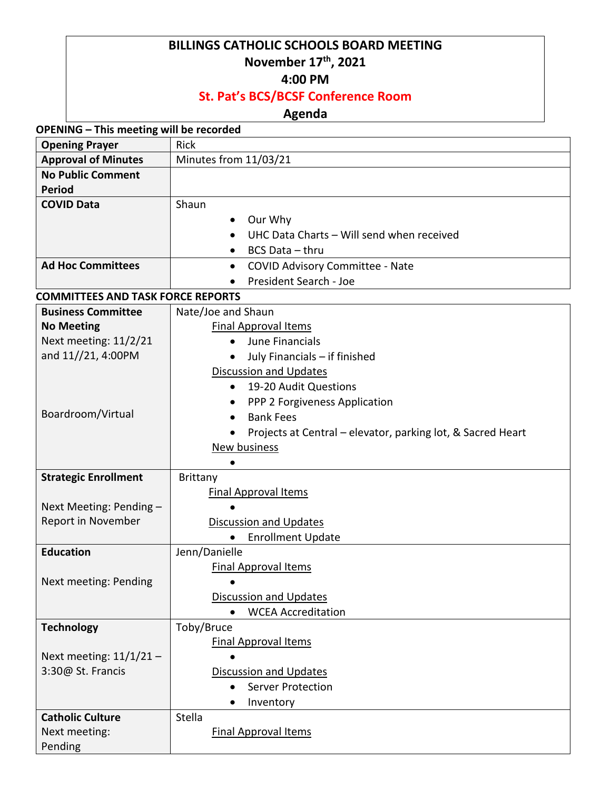## **BILLINGS CATHOLIC SCHOOLS BOARD MEETING November 17th, 2021**

**4:00 PM**

## **St. Pat's BCS/BCSF Conference Room**

## **Agenda**

**OPENING – This meeting will be recorded**

| <b>Opening Prayer</b>                    | <b>Rick</b>                                                 |  |  |  |
|------------------------------------------|-------------------------------------------------------------|--|--|--|
| <b>Approval of Minutes</b>               | Minutes from 11/03/21                                       |  |  |  |
| <b>No Public Comment</b>                 |                                                             |  |  |  |
| <b>Period</b>                            |                                                             |  |  |  |
| <b>COVID Data</b>                        | Shaun                                                       |  |  |  |
|                                          | Our Why                                                     |  |  |  |
|                                          | UHC Data Charts - Will send when received                   |  |  |  |
|                                          | BCS Data - thru<br>$\bullet$                                |  |  |  |
| <b>Ad Hoc Committees</b>                 | <b>COVID Advisory Committee - Nate</b><br>$\bullet$         |  |  |  |
|                                          | President Search - Joe                                      |  |  |  |
| <b>COMMITTEES AND TASK FORCE REPORTS</b> |                                                             |  |  |  |
| <b>Business Committee</b>                | Nate/Joe and Shaun                                          |  |  |  |
| <b>No Meeting</b>                        | <b>Final Approval Items</b>                                 |  |  |  |
| Next meeting: 11/2/21                    | June Financials<br>$\bullet$                                |  |  |  |
| and 11//21, 4:00PM                       | July Financials - if finished<br>$\bullet$                  |  |  |  |
|                                          | <b>Discussion and Updates</b>                               |  |  |  |
|                                          | 19-20 Audit Questions<br>$\bullet$                          |  |  |  |
|                                          | PPP 2 Forgiveness Application<br>٠                          |  |  |  |
| Boardroom/Virtual                        | <b>Bank Fees</b><br>$\bullet$                               |  |  |  |
|                                          | Projects at Central – elevator, parking lot, & Sacred Heart |  |  |  |
|                                          | <b>New business</b>                                         |  |  |  |
|                                          |                                                             |  |  |  |
| <b>Strategic Enrollment</b>              | <b>Brittany</b>                                             |  |  |  |
|                                          | <b>Final Approval Items</b>                                 |  |  |  |
| Next Meeting: Pending -                  |                                                             |  |  |  |
| Report in November                       | <b>Discussion and Updates</b>                               |  |  |  |
|                                          | <b>Enrollment Update</b><br>٠                               |  |  |  |
| <b>Education</b>                         | Jenn/Danielle                                               |  |  |  |
|                                          | <b>Final Approval Items</b>                                 |  |  |  |
| Next meeting: Pending                    | $\bullet$                                                   |  |  |  |
|                                          | <b>Discussion and Updates</b>                               |  |  |  |
|                                          | <b>WCEA Accreditation</b><br>$\bullet$                      |  |  |  |
| <b>Technology</b>                        | Toby/Bruce                                                  |  |  |  |
|                                          | <b>Final Approval Items</b>                                 |  |  |  |
| Next meeting: $11/1/21$ -                |                                                             |  |  |  |
| 3:30@ St. Francis                        | <b>Discussion and Updates</b>                               |  |  |  |
|                                          | <b>Server Protection</b><br>$\bullet$                       |  |  |  |
|                                          | Inventory                                                   |  |  |  |
| <b>Catholic Culture</b>                  | Stella                                                      |  |  |  |
| Next meeting:                            | <b>Final Approval Items</b>                                 |  |  |  |
| Pending                                  |                                                             |  |  |  |